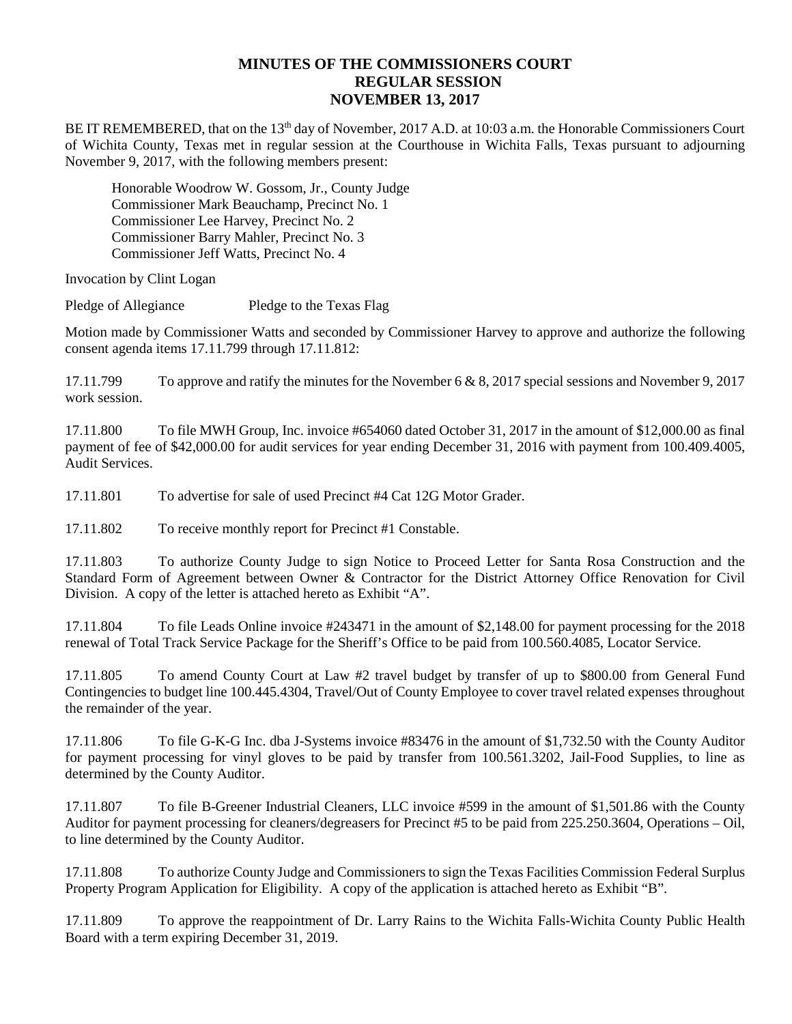## **MINUTES OF THE COMMISSIONERS COURT REGULAR SESSION NOVEMBER 13, 2017**

BE IT REMEMBERED, that on the 13<sup>th</sup> day of November, 2017 A.D. at 10:03 a.m. the Honorable Commissioners Court of Wichita County, Texas met in regular session at the Courthouse in Wichita Falls, Texas pursuant to adjourning November 9, 2017, with the following members present:

Honorable Woodrow W. Gossom, Jr., County Judge Commissioner Mark Beauchamp, Precinct No. 1 Commissioner Lee Harvey, Precinct No. 2 Commissioner Barry Mahler, Precinct No. 3 Commissioner Jeff Watts, Precinct No. 4

Invocation by Clint Logan

Pledge of Allegiance Pledge to the Texas Flag

Motion made by Commissioner Watts and seconded by Commissioner Harvey to approve and authorize the following consent agenda items 17.11.799 through 17.11.812:

17.11.799 To approve and ratify the minutes for the November 6 & 8, 2017 special sessions and November 9, 2017 work session.

17.11.800 To file MWH Group, Inc. invoice #654060 dated October 31, 2017 in the amount of \$12,000.00 as final payment of fee of \$42,000.00 for audit services for year ending December 31, 2016 with payment from 100.409.4005, Audit Services.

17.11.801 To advertise for sale of used Precinct #4 Cat 12G Motor Grader.

17.11.802 To receive monthly report for Precinct #1 Constable.

17.11.803 To authorize County Judge to sign Notice to Proceed Letter for Santa Rosa Construction and the Standard Form of Agreement between Owner & Contractor for the District Attorney Office Renovation for Civil Division. A copy of the letter is attached hereto as Exhibit "A".

17.11.804 To file Leads Online invoice #243471 in the amount of \$2,148.00 for payment processing for the 2018 renewal of Total Track Service Package for the Sheriff's Office to be paid from 100.560.4085, Locator Service.

17.11.805 To amend County Court at Law #2 travel budget by transfer of up to \$800.00 from General Fund Contingencies to budget line 100.445.4304, Travel/Out of County Employee to cover travel related expenses throughout the remainder of the year.

17.11.806 To file G-K-G Inc. dba J-Systems invoice #83476 in the amount of \$1,732.50 with the County Auditor for payment processing for vinyl gloves to be paid by transfer from 100.561.3202, Jail-Food Supplies, to line as determined by the County Auditor.

17.11.807 To file B-Greener Industrial Cleaners, LLC invoice #599 in the amount of \$1,501.86 with the County Auditor for payment processing for cleaners/degreasers for Precinct #5 to be paid from 225.250.3604, Operations – Oil, to line determined by the County Auditor.

17.11.808 To authorize County Judge and Commissioners to sign the Texas Facilities Commission Federal Surplus Property Program Application for Eligibility. A copy of the application is attached hereto as Exhibit "B".

17.11.809 To approve the reappointment of Dr. Larry Rains to the Wichita Falls-Wichita County Public Health Board with a term expiring December 31, 2019.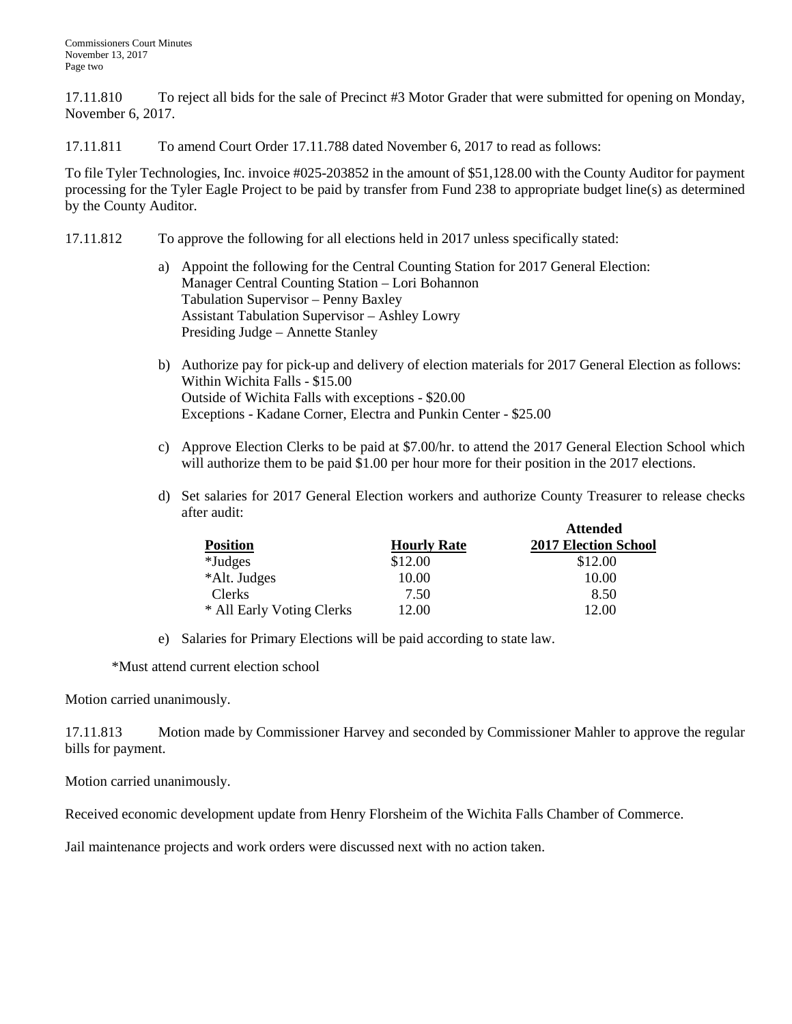17.11.810 To reject all bids for the sale of Precinct #3 Motor Grader that were submitted for opening on Monday, November 6, 2017.

17.11.811 To amend Court Order 17.11.788 dated November 6, 2017 to read as follows:

To file Tyler Technologies, Inc. invoice #025-203852 in the amount of \$51,128.00 with the County Auditor for payment processing for the Tyler Eagle Project to be paid by transfer from Fund 238 to appropriate budget line(s) as determined by the County Auditor.

- 17.11.812 To approve the following for all elections held in 2017 unless specifically stated:
	- a) Appoint the following for the Central Counting Station for 2017 General Election: Manager Central Counting Station – Lori Bohannon Tabulation Supervisor – Penny Baxley Assistant Tabulation Supervisor – Ashley Lowry Presiding Judge – Annette Stanley
	- b) Authorize pay for pick-up and delivery of election materials for 2017 General Election as follows: Within Wichita Falls - \$15.00 Outside of Wichita Falls with exceptions - \$20.00 Exceptions - Kadane Corner, Electra and Punkin Center - \$25.00
	- c) Approve Election Clerks to be paid at \$7.00/hr. to attend the 2017 General Election School which will authorize them to be paid \$1.00 per hour more for their position in the 2017 elections.
	- d) Set salaries for 2017 General Election workers and authorize County Treasurer to release checks after audit:

|                           |                    | <b>Attended</b>             |
|---------------------------|--------------------|-----------------------------|
| <b>Position</b>           | <b>Hourly Rate</b> | <b>2017 Election School</b> |
| *Judges                   | \$12.00            | \$12.00                     |
| *Alt. Judges              | 10.00              | 10.00                       |
| <b>Clerks</b>             | 7.50               | 8.50                        |
| * All Early Voting Clerks | 12.00              | 12.00                       |

e) Salaries for Primary Elections will be paid according to state law.

\*Must attend current election school

Motion carried unanimously.

17.11.813 Motion made by Commissioner Harvey and seconded by Commissioner Mahler to approve the regular bills for payment.

Motion carried unanimously.

Received economic development update from Henry Florsheim of the Wichita Falls Chamber of Commerce.

Jail maintenance projects and work orders were discussed next with no action taken.